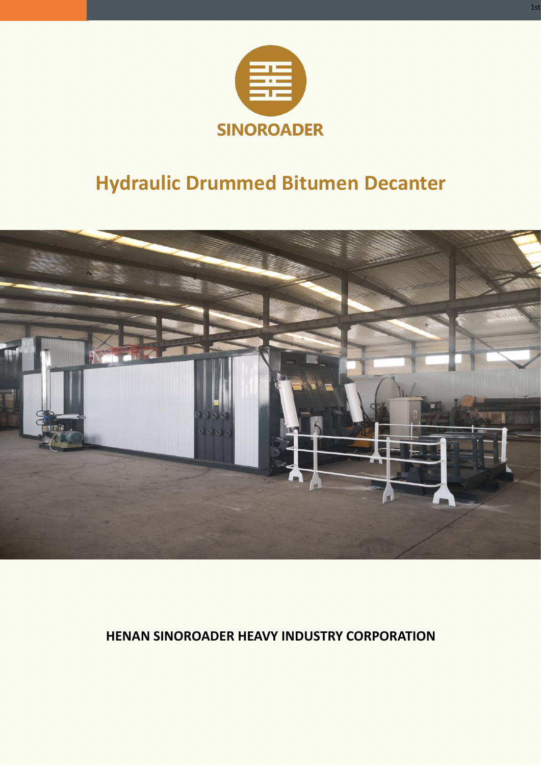

# **Hydraulic Drummed Bitumen Decanter**



# **HENAN SINOROADER HEAVY INDUSTRY CORPORATION**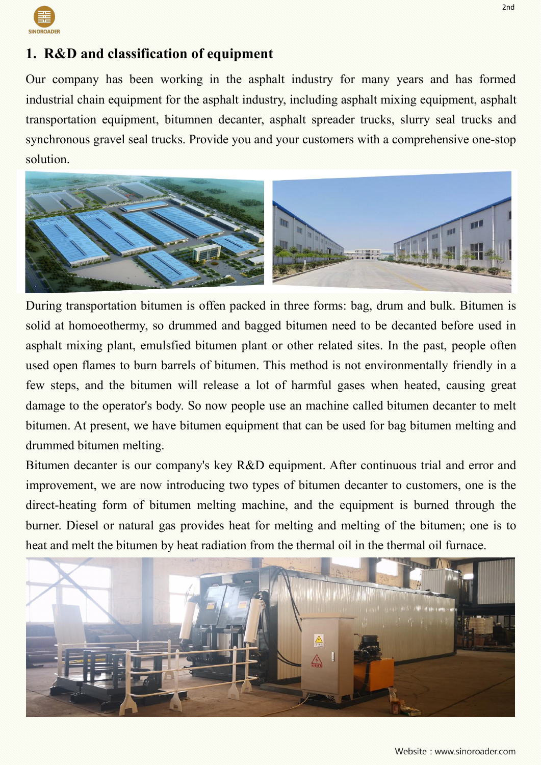

# **1. R&D and classification of equipment**

Our company has been working in the asphalt industry for many years and has formed industrial chain equipment for the asphalt industry, including asphalt mixing equipment, asphalt transportation equipment, bitumnen decanter, asphalt spreader trucks, slurry seal trucks and synchronous gravel seal trucks. Provide you and your customers with a comprehensive one-stop solution.



During transportation bitumen is offen packed in three forms: bag, drum and bulk. Bitumen is solid at homoeothermy, so drummed and bagged bitumen need to be decanted before used in asphalt mixing plant, emulsfied bitumen plant or other related sites. In the past, people often used open flames to burn barrels of bitumen. This method is not environmentally friendly in a few steps, and the bitumen will release a lot of harmful gases when heated, causing great damage to the operator's body. So now people use an machine called bitumen decanter to melt bitumen. At present, we have bitumen equipment that can be used for bag bitumen melting and drummed bitumen melting.

Bitumen decanter is our company's key R&D equipment. After continuous trial and error and improvement, we are now introducing two types of bitumen decanter to customers, one is the direct-heating form of bitumen melting machine, and the equipment is burned through the burner. Diesel or natural gas provides heat for melting and melting of the bitumen; one is to heat and melt the bitumen by heat radiation from the thermal oil in the thermal oil furnace.

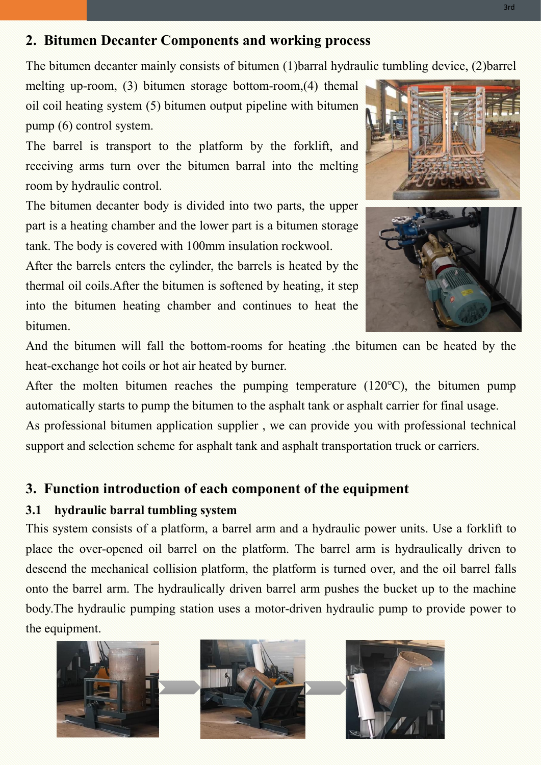## **2. Bitumen Decanter Components and working process**

The bitumen decanter mainly consists of bitumen (1)barral hydraulic tumbling device, (2)barrel

melting up-room, (3) bitumen storage bottom-room,(4) themal oil coil heating system (5) bitumen output pipeline with bitumen pump (6) control system.

The barrel is transport to the platform by the forklift, and receiving arms turn over the bitumen barral into the melting room by hydraulic control.

The bitumen decanter body is divided into two parts, the upper part is a heating chamber and the lower part is a bitumen storage tank. The body is covered with 100mm insulation rockwool.

After the barrels enters the cylinder, the barrels is heated by the thermal oil coils. After the bitumen is softened by heating, it step into the bitumen heating chamber and continues to heat the bitumen.



And the bitumen will fall the bottom-rooms for heating .the bitumen can be heated by the heat-exchange hot coils or hot air heated by burner.

After the molten bitumen reaches the pumping temperature (120℃), the bitumen pump automatically starts to pump the bitumen to the asphalt tank or asphalt carrier for final usage. As professional bitumen application supplier , we can provide you with professional technical support and selection scheme for asphalt tank and asphalt transportation truck or carriers.

#### **3. Function introduction of each component of the equipment**

#### **3.1 hydraulic barral tumbling system**

This system consists of a platform, a barrel arm and a hydraulic power units. Use a forklift to place the over-opened oil barrel on the platform. The barrel arm is hydraulically driven to descend the mechanical collision platform, the platform is turned over, and the oil barrel falls onto the barrel arm. The hydraulically driven barrel arm pushes the bucket up to the machine body.The hydraulic pumping station uses a motor-driven hydraulic pump to provide power to the equipment.

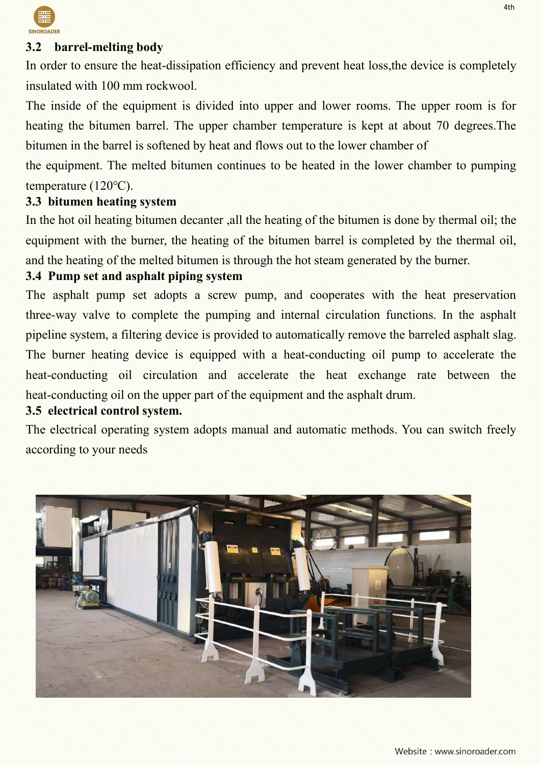

#### **3.2 barrel-melting body**

In order to ensure the heat-dissipation efficiency and prevent heat loss,the device is completely insulated with 100 mm rockwool.

The inside of the equipment is divided into upper and lower rooms. The upper room is for heating the bitumen barrel. The upper chamber temperature is kept at about 70 degrees. The bitumen in the barrel is softened by heat and flows out to the lower chamber of

the equipment. The melted bitumen continues to be heated in the lower chamber to pumping temperature (120℃).

#### **3.3 bitumen heating system**

In the hot oil heating bitumen decanter ,all the heating of the bitumen is done by thermal oil; the equipment with the burner, the heating of the bitumen barrel is completed by the thermal oil, and the heating of the melted bitumen is through the hot steam generated by the burner.

#### **3.4 Pump set and asphalt piping system**

The asphalt pump set adopts a screw pump, and cooperates with the heat preservation three-way valve to complete the pumping and internal circulation functions. In the asphalt pipeline system, a filtering device is provided to automatically remove the barreled asphalt slag. The burner heating device is equipped with a heat-conducting oil pump to accelerate the heat-conducting oil circulation and accelerate the heat exchange rate between the heat-conducting oil on the upper part of the equipment and the asphalt drum.

#### **3.5 electrical control system.**

The electrical operating system adopts manual and automatic methods. You can switch freely according to your needs

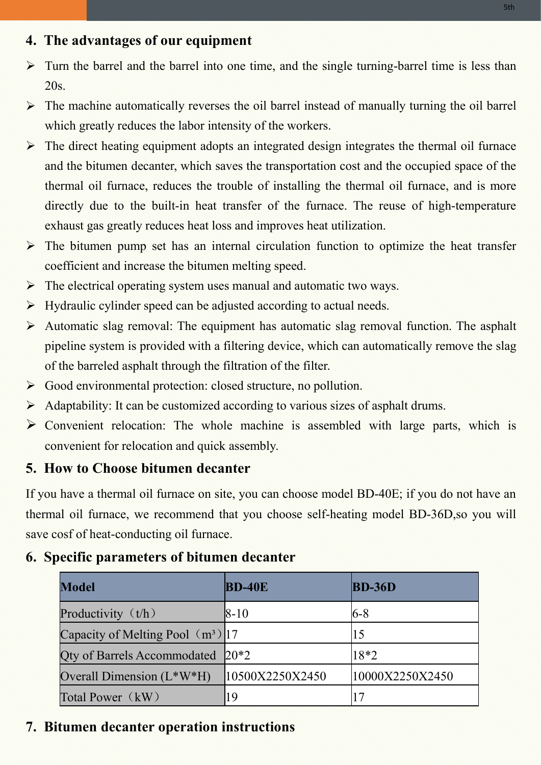### **4. The advantages of our equipment**

- $\triangleright$  Turn the barrel and the barrel into one time, and the single turning-barrel time is less than 20s.
- $\triangleright$  The machine automatically reverses the oil barrel instead of manually turning the oil barrel which greatly reduces the labor intensity of the workers.
- $\triangleright$  The direct heating equipment adopts an integrated design integrates the thermal oil furnace and the bitumen decanter, which saves the transportation cost and the occupied space of the thermal oil furnace, reduces the trouble of installing the thermal oil furnace, and is more directly due to the built-in heat transfer of the furnace. The reuse of high-temperature exhaust gas greatly reduces heat loss and improves heat utilization.
- $\triangleright$  The bitumen pump set has an internal circulation function to optimize the heat transfer coefficient and increase the bitumen melting speed.
- $\triangleright$  The electrical operating system uses manual and automatic two ways.
- $\triangleright$  Hydraulic cylinder speed can be adjusted according to actual needs.
- $\triangleright$  Automatic slag removal: The equipment has automatic slag removal function. The asphalt pipeline system is provided with a filtering device, which can automatically remove the slag of the barreled asphalt through the filtration of the filter.
- Good environmental protection: closed structure, no pollution.
- $\triangleright$  Adaptability: It can be customized according to various sizes of asphalt drums.
- $\triangleright$  Convenient relocation: The whole machine is assembled with large parts, which is convenient for relocation and quick assembly.

## **5. How to Choose bitumen decanter**

If you have a thermal oil furnace on site, you can choose model BD-40E; if you do not have an thermal oil furnace, we recommend that you choose self-heating model BD-36D,so you will save cosf of heat-conducting oil furnace.

## **6.** Specific parameters of bitumen decanter

| <b>Model</b>                          | $BD-40E$        | $BD-36D$        |
|---------------------------------------|-----------------|-----------------|
| Productivity $(t/h)$                  | $ 8-10 $        | 6-8             |
| Capacity of Melting Pool $(m^3)$  17  |                 |                 |
| Qty of Barrels Accommodated $ 20^*2 $ |                 | $18*2$          |
| Overall Dimension $(L^*W^*H)$         | 10500X2250X2450 | 10000X2250X2450 |
| Total Power (kW)                      | 19              |                 |

## **7. Bitumen decanter operation instructions**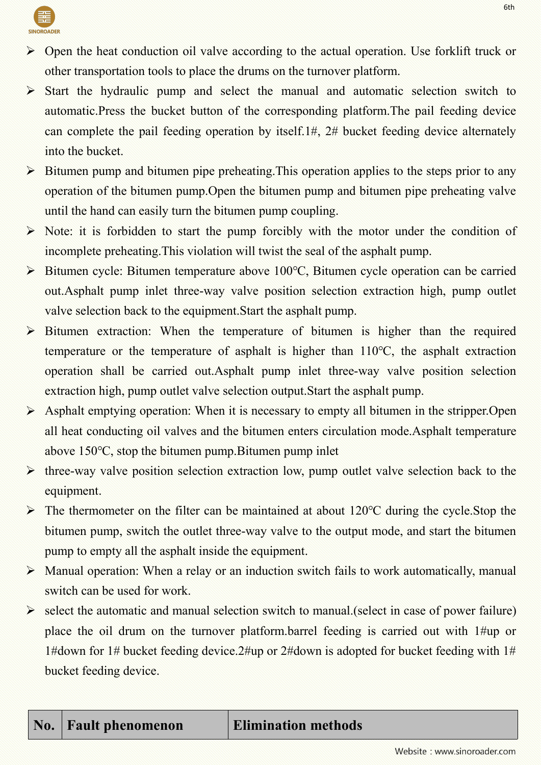

- $\triangleright$  Open the heat conduction oil valve according to the actual operation. Use forklift truck or other transportation tools to place the drums on the turnover platform.
- $\triangleright$  Start the hydraulic pump and select the manual and automatic selection switch to automatic.Press the bucket button of the corresponding platform.The pail feeding device can complete the pail feeding operation by itself.1#, 2# bucket feeding device alternately into the bucket.
- $\triangleright$  Bitumen pump and bitumen pipe preheating. This operation applies to the steps prior to any operation of the bitumen pump.Open the bitumen pump and bitumen pipe preheating valve until the hand can easily turn the bitumen pump coupling.
- $\triangleright$  Note: it is forbidden to start the pump forcibly with the motor under the condition of incomplete preheating.This violation will twist the seal of the asphalt pump.
- Bitumen cycle: Bitumen temperature above 100℃, Bitumen cycle operation can be carried out.Asphalt pump inlet three-way valve position selection extraction high, pump outlet valve selection back to the equipment.Start the asphalt pump.
- Bitumen extraction: When the temperature of bitumen is higher than the required temperature or the temperature of asphalt is higher than 110℃, the asphalt extraction operation shall be carried out.Asphalt pump inlet three-way valve position selection extraction high, pump outlet valve selection output.Start the asphalt pump.
- $\triangleright$  Asphalt emptying operation: When it is necessary to empty all bitumen in the stripper. Open all heat conducting oil valves and the bitumen enters circulation mode.Asphalt temperature above 150℃, stop the bitumen pump.Bitumen pump inlet
- $\triangleright$  three-way valve position selection extraction low, pump outlet valve selection back to the equipment.
- The thermometer on the filter can be maintained at about 120℃ during the cycle.Stop the bitumen pump, switch the outlet three-way valve to the output mode, and start the bitumen pump to empty all the asphalt inside the equipment.
- $\triangleright$  Manual operation: When a relay or an induction switch fails to work automatically, manual switch can be used for work.
- $\triangleright$  select the automatic and manual selection switch to manual. (select in case of power failure) place the oil drum on the turnover platform.barrel feeding is carried out with 1#up or 1#down for 1# bucket feeding device.2#up or 2#down is adopted for bucket feeding with 1# bucket feeding device.

6th

# **No. Fault phenomenon Elimination methods**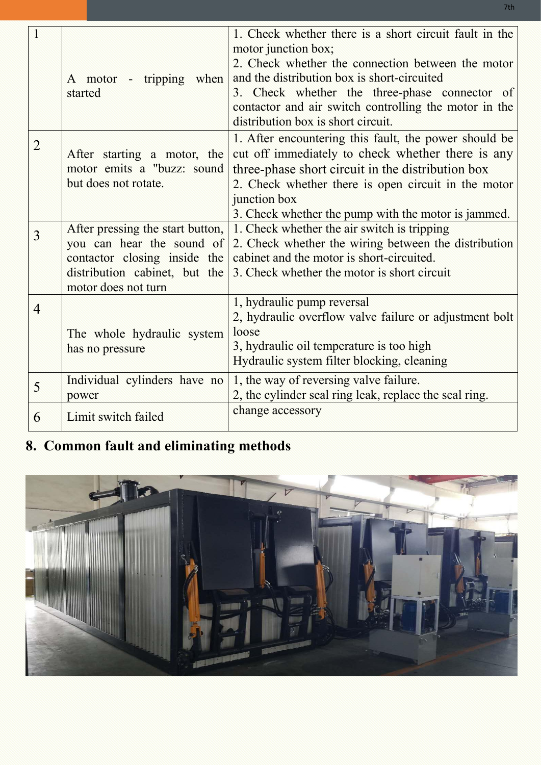| $\mathbf{1}$   | A motor - tripping when<br>started                                                                                                                    | 1. Check whether there is a short circuit fault in the<br>motor junction box;<br>2. Check whether the connection between the motor<br>and the distribution box is short-circuited<br>3. Check whether the three-phase connector of<br>contactor and air switch controlling the motor in the<br>distribution box is short circuit.<br>1. After encountering this fault, the power should be<br>cut off immediately to check whether there is any<br>three-phase short circuit in the distribution box<br>2. Check whether there is open circuit in the motor<br>junction box<br>3. Check whether the pump with the motor is jammed. |  |
|----------------|-------------------------------------------------------------------------------------------------------------------------------------------------------|------------------------------------------------------------------------------------------------------------------------------------------------------------------------------------------------------------------------------------------------------------------------------------------------------------------------------------------------------------------------------------------------------------------------------------------------------------------------------------------------------------------------------------------------------------------------------------------------------------------------------------|--|
| $\overline{2}$ | After starting a motor, the<br>motor emits a "buzz: sound<br>but does not rotate.                                                                     |                                                                                                                                                                                                                                                                                                                                                                                                                                                                                                                                                                                                                                    |  |
| $\overline{3}$ | After pressing the start button,<br>you can hear the sound of<br>contactor closing inside the<br>distribution cabinet, but the<br>motor does not turn | 1. Check whether the air switch is tripping<br>2. Check whether the wiring between the distribution<br>cabinet and the motor is short-circuited.<br>3. Check whether the motor is short circuit                                                                                                                                                                                                                                                                                                                                                                                                                                    |  |
| $\overline{4}$ | The whole hydraulic system<br>has no pressure                                                                                                         | 1, hydraulic pump reversal<br>2, hydraulic overflow valve failure or adjustment bolt<br>loose<br>3, hydraulic oil temperature is too high<br>Hydraulic system filter blocking, cleaning                                                                                                                                                                                                                                                                                                                                                                                                                                            |  |
| 5<br>6         | Individual cylinders have no<br>power<br>Limit switch failed                                                                                          | 1, the way of reversing valve failure.<br>2, the cylinder seal ring leak, replace the seal ring.<br>change accessory                                                                                                                                                                                                                                                                                                                                                                                                                                                                                                               |  |
|                |                                                                                                                                                       |                                                                                                                                                                                                                                                                                                                                                                                                                                                                                                                                                                                                                                    |  |

# **8. Common fault and eliminating methods**